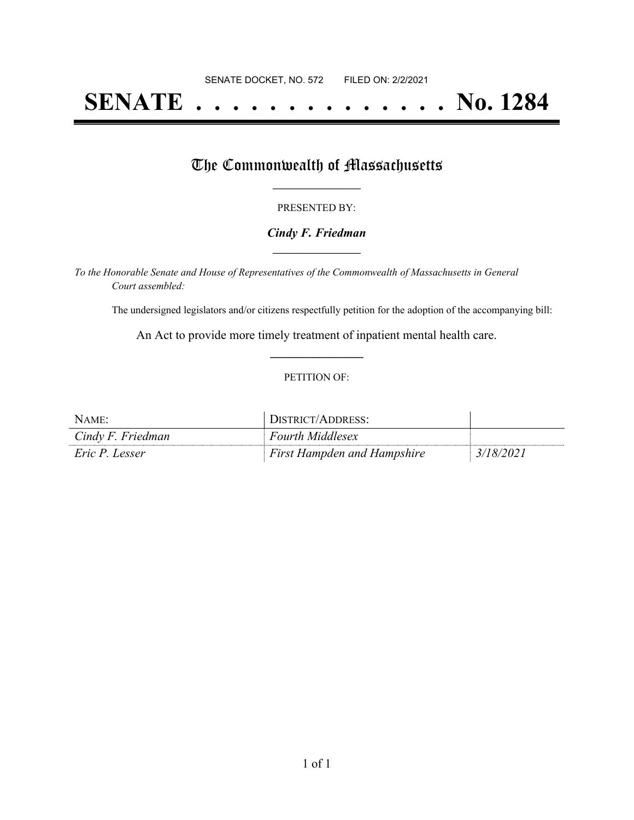# **SENATE . . . . . . . . . . . . . . No. 1284**

## The Commonwealth of Massachusetts

#### PRESENTED BY:

#### *Cindy F. Friedman* **\_\_\_\_\_\_\_\_\_\_\_\_\_\_\_\_\_**

*To the Honorable Senate and House of Representatives of the Commonwealth of Massachusetts in General Court assembled:*

The undersigned legislators and/or citizens respectfully petition for the adoption of the accompanying bill:

An Act to provide more timely treatment of inpatient mental health care. **\_\_\_\_\_\_\_\_\_\_\_\_\_\_\_**

#### PETITION OF:

| NAME:             | DISTRICT/ADDRESS:                  |           |
|-------------------|------------------------------------|-----------|
| Cindy F. Friedman | <b>Fourth Middlesex</b>            |           |
| Eric P. Lesser    | <b>First Hampden and Hampshire</b> | 3/18/2021 |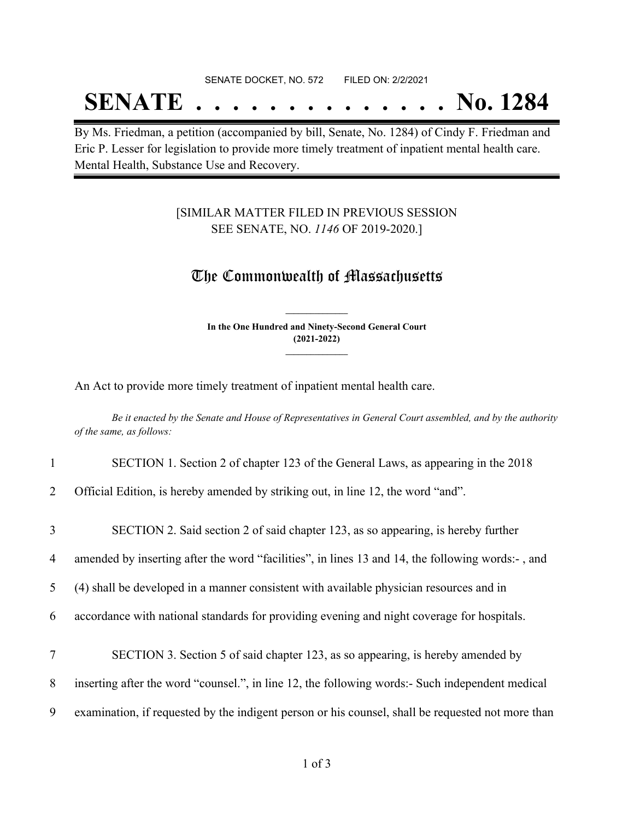#### SENATE DOCKET, NO. 572 FILED ON: 2/2/2021

## **SENATE . . . . . . . . . . . . . . No. 1284**

By Ms. Friedman, a petition (accompanied by bill, Senate, No. 1284) of Cindy F. Friedman and Eric P. Lesser for legislation to provide more timely treatment of inpatient mental health care. Mental Health, Substance Use and Recovery.

### [SIMILAR MATTER FILED IN PREVIOUS SESSION SEE SENATE, NO. *1146* OF 2019-2020.]

## The Commonwealth of Massachusetts

**In the One Hundred and Ninety-Second General Court (2021-2022) \_\_\_\_\_\_\_\_\_\_\_\_\_\_\_**

**\_\_\_\_\_\_\_\_\_\_\_\_\_\_\_**

An Act to provide more timely treatment of inpatient mental health care.

Be it enacted by the Senate and House of Representatives in General Court assembled, and by the authority *of the same, as follows:*

#### 1 SECTION 1. Section 2 of chapter 123 of the General Laws, as appearing in the 2018

2 Official Edition, is hereby amended by striking out, in line 12, the word "and".

| $\overline{3}$ | SECTION 2. Said section 2 of said chapter 123, as so appearing, is hereby further                 |
|----------------|---------------------------------------------------------------------------------------------------|
| 4              | amended by inserting after the word "facilities", in lines 13 and 14, the following words:-, and  |
| 5              | (4) shall be developed in a manner consistent with available physician resources and in           |
| 6              | accordance with national standards for providing evening and night coverage for hospitals.        |
| 7              | SECTION 3. Section 5 of said chapter 123, as so appearing, is hereby amended by                   |
| 8              | inserting after the word "counsel.", in line 12, the following words:- Such independent medical   |
| 9              | examination, if requested by the indigent person or his counsel, shall be requested not more than |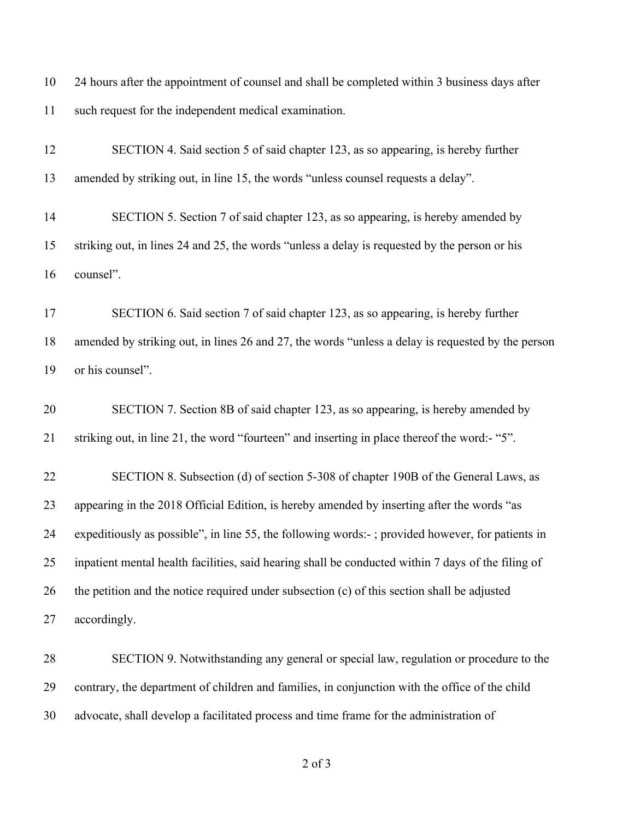| 10 | 24 hours after the appointment of counsel and shall be completed within 3 business days after |
|----|-----------------------------------------------------------------------------------------------|
| 11 | such request for the independent medical examination.                                         |

| 12 | SECTION 4. Said section 5 of said chapter 123, as so appearing, is hereby further                  |
|----|----------------------------------------------------------------------------------------------------|
| 13 | amended by striking out, in line 15, the words "unless counsel requests a delay".                  |
| 14 | SECTION 5. Section 7 of said chapter 123, as so appearing, is hereby amended by                    |
| 15 | striking out, in lines 24 and 25, the words "unless a delay is requested by the person or his      |
| 16 | counsel".                                                                                          |
| 17 | SECTION 6. Said section 7 of said chapter 123, as so appearing, is hereby further                  |
| 18 | amended by striking out, in lines 26 and 27, the words "unless a delay is requested by the person  |
| 19 | or his counsel".                                                                                   |
| 20 | SECTION 7. Section 8B of said chapter 123, as so appearing, is hereby amended by                   |
| 21 | striking out, in line 21, the word "fourteen" and inserting in place thereof the word:- "5".       |
| 22 | SECTION 8. Subsection (d) of section 5-308 of chapter 190B of the General Laws, as                 |
| 23 | appearing in the 2018 Official Edition, is hereby amended by inserting after the words "as         |
| 24 | expeditiously as possible", in line 55, the following words:-; provided however, for patients in   |
| 25 | inpatient mental health facilities, said hearing shall be conducted within 7 days of the filing of |
| 26 | the petition and the notice required under subsection (c) of this section shall be adjusted        |
| 27 | accordingly.                                                                                       |
| 28 | SECTION 9. Notwithstanding any general or special law, regulation or procedure to the              |
| 29 | contrary, the department of children and families, in conjunction with the office of the child     |
| 30 | advocate, shall develop a facilitated process and time frame for the administration of             |

of 3